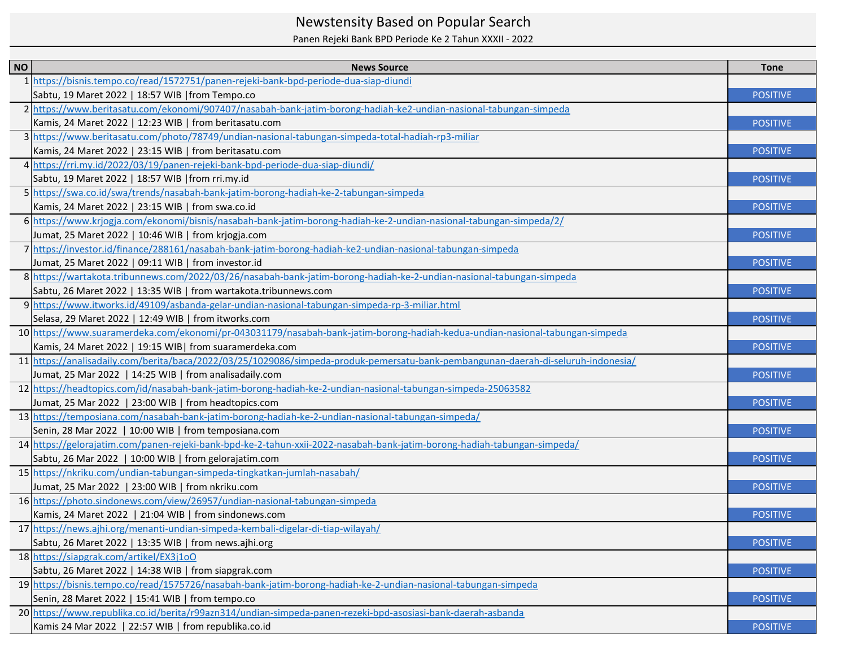## Newstensity Based on Popular Search

Panen Rejeki Bank BPD Periode Ke 2 Tahun XXXII - 2022

| <b>NO</b> | <b>News Source</b>                                                                                                                | <b>Tone</b>     |
|-----------|-----------------------------------------------------------------------------------------------------------------------------------|-----------------|
|           | https://bisnis.tempo.co/read/1572751/panen-rejeki-bank-bpd-periode-dua-siap-diundi                                                |                 |
|           | Sabtu, 19 Maret 2022   18:57 WIB   from Tempo.co                                                                                  | <b>POSITIVE</b> |
|           | 2 https://www.beritasatu.com/ekonomi/907407/nasabah-bank-jatim-borong-hadiah-ke2-undian-nasional-tabungan-simpeda                 |                 |
|           | Kamis, 24 Maret 2022   12:23 WIB   from beritasatu.com                                                                            | <b>POSITIVE</b> |
|           | 3 https://www.beritasatu.com/photo/78749/undian-nasional-tabungan-simpeda-total-hadiah-rp3-miliar                                 |                 |
|           | Kamis, 24 Maret 2022   23:15 WIB   from beritasatu.com                                                                            | <b>POSITIVE</b> |
|           | 4 https://rri.my.id/2022/03/19/panen-rejeki-bank-bpd-periode-dua-siap-diundi/                                                     |                 |
|           | Sabtu, 19 Maret 2022   18:57 WIB   from rri.my.id                                                                                 | <b>POSITIVE</b> |
|           | 5 https://swa.co.id/swa/trends/nasabah-bank-jatim-borong-hadiah-ke-2-tabungan-simpeda                                             |                 |
|           | Kamis, 24 Maret 2022   23:15 WIB   from swa.co.id                                                                                 | <b>POSITIVE</b> |
|           | 6 https://www.krjogja.com/ekonomi/bisnis/nasabah-bank-jatim-borong-hadiah-ke-2-undian-nasional-tabungan-simpeda/2/                |                 |
|           | Jumat, 25 Maret 2022   10:46 WIB   from krjogja.com                                                                               | <b>POSITIVE</b> |
|           | 7 https://investor.id/finance/288161/nasabah-bank-jatim-borong-hadiah-ke2-undian-nasional-tabungan-simpeda                        |                 |
|           | Jumat, 25 Maret 2022   09:11 WIB   from investor.id                                                                               | <b>POSITIVE</b> |
|           | 8 https://wartakota.tribunnews.com/2022/03/26/nasabah-bank-jatim-borong-hadiah-ke-2-undian-nasional-tabungan-simpeda              |                 |
|           | Sabtu, 26 Maret 2022   13:35 WIB   from wartakota.tribunnews.com                                                                  | <b>POSITIVE</b> |
|           | 9 https://www.itworks.id/49109/asbanda-gelar-undian-nasional-tabungan-simpeda-rp-3-miliar.html                                    |                 |
|           | Selasa, 29 Maret 2022   12:49 WIB   from itworks.com                                                                              | <b>POSITIVE</b> |
|           | 10 https://www.suaramerdeka.com/ekonomi/pr-043031179/nasabah-bank-jatim-borong-hadiah-kedua-undian-nasional-tabungan-simpeda      |                 |
|           | Kamis, 24 Maret 2022   19:15 WIB  from suaramerdeka.com                                                                           | <b>POSITIVE</b> |
|           | 11 https://analisadaily.com/berita/baca/2022/03/25/1029086/simpeda-produk-pemersatu-bank-pembangunan-daerah-di-seluruh-indonesia/ |                 |
|           | Jumat, 25 Mar 2022   14:25 WIB   from analisadaily.com                                                                            | <b>POSITIVE</b> |
|           | 12 https://headtopics.com/id/nasabah-bank-jatim-borong-hadiah-ke-2-undian-nasional-tabungan-simpeda-25063582                      |                 |
|           | Jumat, 25 Mar 2022   23:00 WIB   from headtopics.com                                                                              | <b>POSITIVE</b> |
|           | 13 https://temposiana.com/nasabah-bank-jatim-borong-hadiah-ke-2-undian-nasional-tabungan-simpeda/                                 |                 |
|           | Senin, 28 Mar 2022   10:00 WIB   from temposiana.com                                                                              | <b>POSITIVE</b> |
|           | 14 https://gelorajatim.com/panen-rejeki-bank-bpd-ke-2-tahun-xxii-2022-nasabah-bank-jatim-borong-hadiah-tabungan-simpeda/          |                 |
|           | Sabtu, 26 Mar 2022   10:00 WIB   from gelorajatim.com                                                                             | <b>POSITIVE</b> |
|           | 15 https://nkriku.com/undian-tabungan-simpeda-tingkatkan-jumlah-nasabah/                                                          |                 |
|           | Jumat, 25 Mar 2022   23:00 WIB   from nkriku.com                                                                                  | <b>POSITIVE</b> |
|           | 16 https://photo.sindonews.com/view/26957/undian-nasional-tabungan-simpeda                                                        |                 |
|           | Kamis, 24 Maret 2022   21:04 WIB   from sindonews.com                                                                             | <b>POSITIVE</b> |
|           | 17 https://news.ajhi.org/menanti-undian-simpeda-kembali-digelar-di-tiap-wilayah/                                                  |                 |
|           | Sabtu, 26 Maret 2022   13:35 WIB   from news.ajhi.org                                                                             | <b>POSITIVE</b> |
|           | 18 https://siapgrak.com/artikel/EX3j1oO                                                                                           |                 |
|           | Sabtu, 26 Maret 2022   14:38 WIB   from siapgrak.com                                                                              | <b>POSITIVE</b> |
|           | 19 https://bisnis.tempo.co/read/1575726/nasabah-bank-jatim-borong-hadiah-ke-2-undian-nasional-tabungan-simpeda                    |                 |
|           | Senin, 28 Maret 2022   15:41 WIB   from tempo.co                                                                                  | <b>POSITIVE</b> |
|           | 20 https://www.republika.co.id/berita/r99azn314/undian-simpeda-panen-rezeki-bpd-asosiasi-bank-daerah-asbanda                      |                 |
|           | Kamis 24 Mar 2022   22:57 WIB   from republika.co.id                                                                              | <b>POSITIVE</b> |